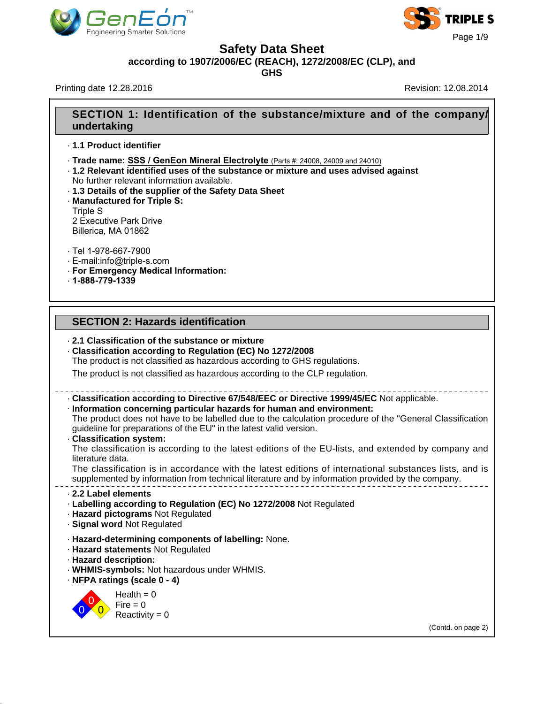



**Safety Data Sheet**

**according to 1907/2006/EC (REACH), 1272/2008/EC (CLP), and**

**GHS**

Printing date 12.28.2016 **Revision: 12.08.2014** Revision: 12.08.2014

# **SECTION 1: Identification of the substance/mixture and of the company/ undertaking**

- · **1.1 Product identifier**
- · **Trade name: SSS / GenEon Mineral Electrolyte** (Parts #: 24008, 24009 and 24010)
- · **1.2 Relevant identified uses of the substance or mixture and uses advised against** No further relevant information available.
- · **1.3 Details of the supplier of the Safety Data Sheet**
- · **Manufactured for Triple S:**

Triple S 2 Executive Park Drive Billerica, MA 01862

· Tel 1-978-667-7900

- · E-mail:info@triple-s.com
- · **For Emergency Medical Information:**
- · **1-888-779-1339**

## **SECTION 2: Hazards identification**

### · **2.1 Classification of the substance or mixture**

· **Classification according to Regulation (EC) No 1272/2008**

The product is not classified as hazardous according to GHS regulations.

The product is not classified as hazardous according to the CLP regulation.

# · **Classification according to Directive 67/548/EEC or Directive 1999/45/EC** Not applicable.

· **Information concerning particular hazards for human and environment:** The product does not have to be labelled due to the calculation procedure of the "General Classification guideline for preparations of the EU" in the latest valid version.

· **Classification system:**

The classification is according to the latest editions of the EU-lists, and extended by company and literature data.

The classification is in accordance with the latest editions of international substances lists, and is supplemented by information from technical literature and by information provided by the company.

#### · **2.2 Label elements**

- · **Labelling according to Regulation (EC) No 1272/2008** Not Regulated
- · **Hazard pictograms** Not Regulated
- · **Signal word** Not Regulated
- · **Hazard-determining components of labelling:** None.
- · **Hazard statements** Not Regulated
- · **Hazard description:**
- · **WHMIS-symbols:** Not hazardous under WHMIS.
- · **NFPA ratings (scale 0 4)**

0 0  $\overline{0}$  $Health = 0$  $Fire = 0$ Reactivity  $= 0$ 

39.1.1

(Contd. on page 2)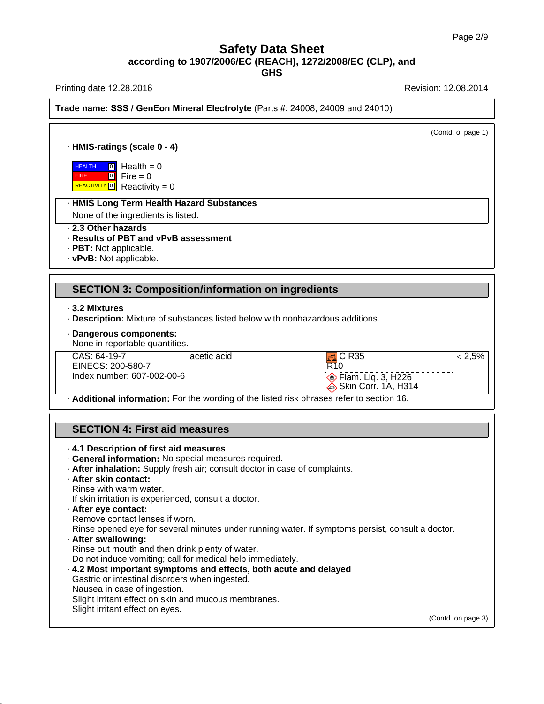Printing date 12.28.2016 **Printing date 12.28.2016** Revision: 12.08.2014

39.1.1

**Trade name: SSS / GenEon Mineral Electrolyte** (Parts #: 24008, 24009 and 24010)

(Contd. of page 1) · **HMIS-ratings (scale 0 - 4) HEALTH**  FIRE REACTIVITY<sup>O</sup> Reactivity = 0 <mark>]</mark> Health = 0 0 Fire = 0 · **HMIS Long Term Health Hazard Substances** None of the ingredients is listed. · **2.3 Other hazards** · **Results of PBT and vPvB assessment** · **PBT:** Not applicable. · **vPvB:** Not applicable. **SECTION 3: Composition/information on ingredients** · **3.2 Mixtures** · **Description:** Mixture of substances listed below with nonhazardous additions. · **Dangerous components:** None in reportable quantities. CAS: 64-19-7 EINECS: 200-580-7 Index number: 607-002-00-6 acetic acid acid acid **F** C R35 R10 **Elam.** Liq. 3, H226 Skin Corr. 1A, H314  $\leq 2,5%$ · **Additional information:** For the wording of the listed risk phrases refer to section 16. **SECTION 4: First aid measures** · **4.1 Description of first aid measures** · **General information:** No special measures required. · **After inhalation:** Supply fresh air; consult doctor in case of complaints. · **After skin contact:** Rinse with warm water. If skin irritation is experienced, consult a doctor. · **After eye contact:** Remove contact lenses if worn. Rinse opened eye for several minutes under running water. If symptoms persist, consult a doctor. · **After swallowing:** Rinse out mouth and then drink plenty of water. Do not induce vomiting; call for medical help immediately. · **4.2 Most important symptoms and effects, both acute and delayed** Gastric or intestinal disorders when ingested. Nausea in case of ingestion. Slight irritant effect on skin and mucous membranes. Slight irritant effect on eyes. (Contd. on page 3)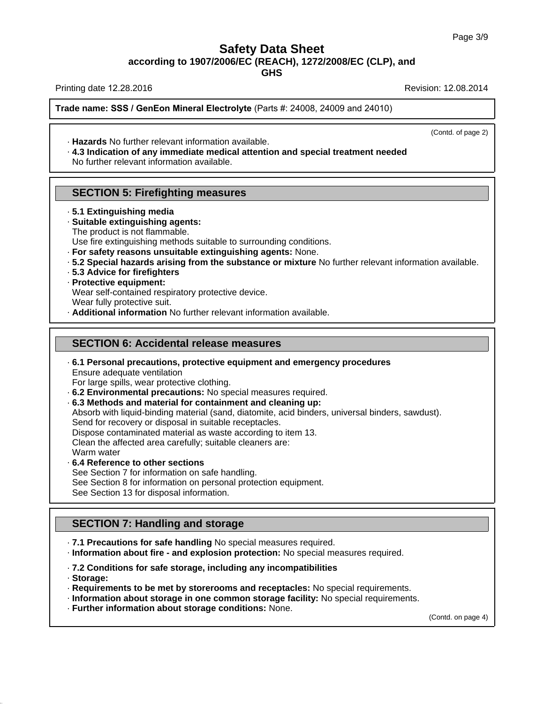**GHS**

Printing date 12.28.2016 **Revision: 12.08.2014** Revision: 12.08.2014

**Trade name: SSS / GenEon Mineral Electrolyte** (Parts #: 24008, 24009 and 24010)

(Contd. of page 2)

- · **Hazards** No further relevant information available.
- · **4.3 Indication of any immediate medical attention and special treatment needed** No further relevant information available.

## **SECTION 5: Firefighting measures**

- · **5.1 Extinguishing media**
- · **Suitable extinguishing agents:** The product is not flammable.

Use fire extinguishing methods suitable to surrounding conditions.

- · **For safety reasons unsuitable extinguishing agents:** None.
- · **5.2 Special hazards arising from the substance or mixture** No further relevant information available.
- · **5.3 Advice for firefighters**

### · **Protective equipment:**

Wear self-contained respiratory protective device.

Wear fully protective suit.

· **Additional information** No further relevant information available.

### **SECTION 6: Accidental release measures**

· **6.1 Personal precautions, protective equipment and emergency procedures** Ensure adequate ventilation

For large spills, wear protective clothing.

- · **6.2 Environmental precautions:** No special measures required.
- · **6.3 Methods and material for containment and cleaning up:**

Absorb with liquid-binding material (sand, diatomite, acid binders, universal binders, sawdust). Send for recovery or disposal in suitable receptacles.

Dispose contaminated material as waste according to item 13.

Clean the affected area carefully; suitable cleaners are:

Warm water

· **6.4 Reference to other sections**

See Section 7 for information on safe handling.

See Section 8 for information on personal protection equipment.

See Section 13 for disposal information.

# **SECTION 7: Handling and storage**

· **7.1 Precautions for safe handling** No special measures required.

· **Information about fire - and explosion protection:** No special measures required.

· **7.2 Conditions for safe storage, including any incompatibilities**

· **Storage:**

39.1.1

- · **Requirements to be met by storerooms and receptacles:** No special requirements.
- · **Information about storage in one common storage facility:** No special requirements.
- · **Further information about storage conditions:** None.

(Contd. on page 4)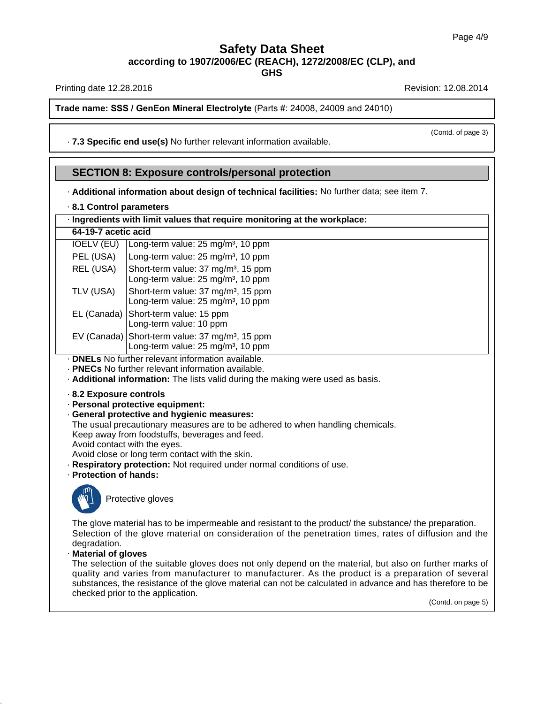**GHS**

Printing date 12.28.2016 **Revision: 12.08.2014** Revision: 12.08.2014

**Trade name: SSS / GenEon Mineral Electrolyte** (Parts #: 24008, 24009 and 24010)

· **7.3 Specific end use(s)** No further relevant information available.

### **SECTION 8: Exposure controls/personal protection**

· **Additional information about design of technical facilities:** No further data; see item 7.

· **8.1 Control parameters**

## · **Ingredients with limit values that require monitoring at the workplace:**

| 64-19-7 acetic acid |                                                                                                   |  |  |
|---------------------|---------------------------------------------------------------------------------------------------|--|--|
| <b>IOELV (EU)</b>   | Long-term value: 25 mg/m <sup>3</sup> , 10 ppm                                                    |  |  |
| PEL (USA)           | Long-term value: 25 mg/m <sup>3</sup> , 10 ppm                                                    |  |  |
| REL (USA)           | Short-term value: 37 mg/m <sup>3</sup> , 15 ppm<br>Long-term value: 25 mg/m <sup>3</sup> , 10 ppm |  |  |
| TLV (USA)           | Short-term value: 37 mg/m <sup>3</sup> , 15 ppm<br>Long-term value: 25 mg/m <sup>3</sup> , 10 ppm |  |  |
| EL (Canada)         | Short-term value: 15 ppm<br>Long-term value: 10 ppm                                               |  |  |
| EV (Canada)         | Short-term value: 37 mg/m <sup>3</sup> , 15 ppm<br>Long-term value: 25 mg/m <sup>3</sup> , 10 ppm |  |  |

- · **DNELs** No further relevant information available.
- · **PNECs** No further relevant information available.

· **Additional information:** The lists valid during the making were used as basis.

- · **8.2 Exposure controls**
- · **Personal protective equipment:**
- · **General protective and hygienic measures:**

The usual precautionary measures are to be adhered to when handling chemicals.

- Keep away from foodstuffs, beverages and feed.
- Avoid contact with the eyes.

Avoid close or long term contact with the skin.

- · **Respiratory protection:** Not required under normal conditions of use.
- · **Protection of hands:**



39.1.1

Protective gloves

The glove material has to be impermeable and resistant to the product/ the substance/ the preparation. Selection of the glove material on consideration of the penetration times, rates of diffusion and the degradation.

· **Material of gloves**

The selection of the suitable gloves does not only depend on the material, but also on further marks of quality and varies from manufacturer to manufacturer. As the product is a preparation of several substances, the resistance of the glove material can not be calculated in advance and has therefore to be checked prior to the application.

(Contd. on page 5)

(Contd. of page 3)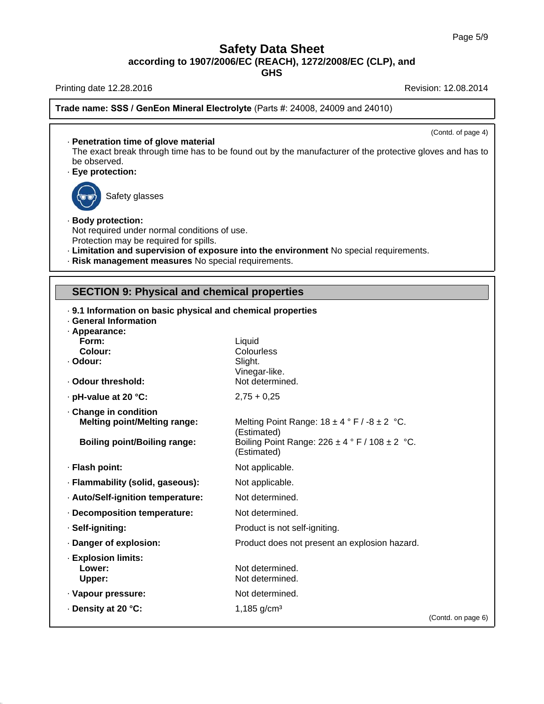**GHS**

Printing date 12.28.2016 **Revision: 12.08.2014** Revision: 12.08.2014

39.1.1

**Trade name: SSS / GenEon Mineral Electrolyte** (Parts #: 24008, 24009 and 24010)

(Contd. of page 4) · **Penetration time of glove material** The exact break through time has to be found out by the manufacturer of the protective gloves and has to be observed. · **Eye protection:** Safety glasses · **Body protection:** Not required under normal conditions of use. Protection may be required for spills. · **Limitation and supervision of exposure into the environment** No special requirements. · **Risk management measures** No special requirements. **SECTION 9: Physical and chemical properties** · **9.1 Information on basic physical and chemical properties** · **General Information** · **Appearance: Form:** Liquid **Colour:** Colourless · **Odour:** Slight. Vinegar-like. · Odour threshold: Not determined. · **pH-value at 20 °C:** 2,75 + 0,25 · **Change in condition Melting point/Melting range:** Melting Point Range: 18 ± 4 ° F / -8 ± 2 °C. (Estimated) **Boiling point/Boiling range:** Boiling Point Range: 226 ± 4 ° F / 108 ± 2 °C. (Estimated) · **Flash point:** Not applicable. · **Flammability (solid, gaseous):** Not applicable. · **Auto/Self-ignition temperature:** Not determined. · **Decomposition temperature:** Not determined. · **Self-igniting:** Product is not self-igniting. · **Danger of explosion:** Product does not present an explosion hazard. · **Explosion limits: Lower:** Not determined. Upper: Not determined. · Vapour pressure: Not determined. **• Density at 20 °C:** 1,185 g/cm<sup>3</sup> (Contd. on page 6)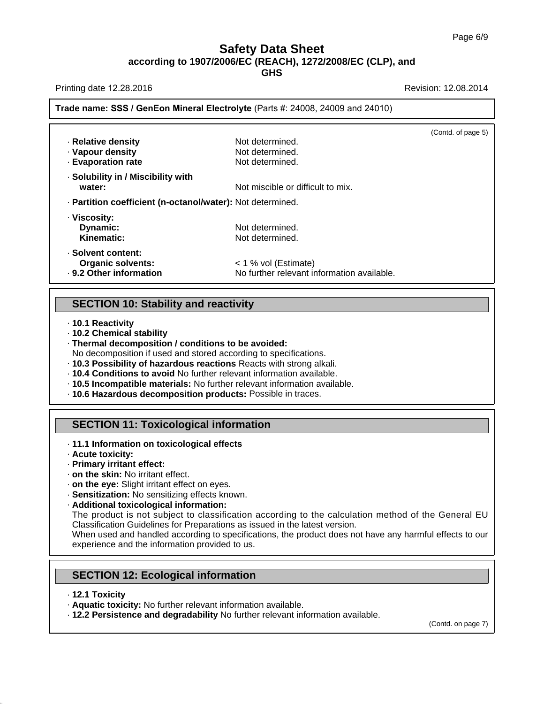Printing date 12.28.2016 **Revision: 12.08.2014** Revision: 12.08.2014

## **Trade name: SSS / GenEon Mineral Electrolyte** (Parts #: 24008, 24009 and 24010)

| · Relative density<br>· Vapour density<br>- Evaporation rate              | Not determined.<br>Not determined.<br>Not determined.              | (Contd. of page 5) |
|---------------------------------------------------------------------------|--------------------------------------------------------------------|--------------------|
| · Solubility in / Miscibility with<br>water:                              | Not miscible or difficult to mix.                                  |                    |
| - Partition coefficient (n-octanol/water): Not determined.                |                                                                    |                    |
| · Viscosity:<br>Dynamic:<br>Kinematic:                                    | Not determined.<br>Not determined.                                 |                    |
| · Solvent content:<br><b>Organic solvents:</b><br>. 9.2 Other information | < 1 % vol (Estimate)<br>No further relevant information available. |                    |
|                                                                           |                                                                    |                    |

### **SECTION 10: Stability and reactivity**

- · **10.1 Reactivity**
- · **10.2 Chemical stability**
- · **Thermal decomposition / conditions to be avoided:**
- No decomposition if used and stored according to specifications.
- · **10.3 Possibility of hazardous reactions** Reacts with strong alkali.
- · **10.4 Conditions to avoid** No further relevant information available.
- · **10.5 Incompatible materials:** No further relevant information available.
- · **10.6 Hazardous decomposition products:** Possible in traces.

## **SECTION 11: Toxicological information**

- · **11.1 Information on toxicological effects**
- · **Acute toxicity:**
- · **Primary irritant effect:**
- · **on the skin:** No irritant effect.
- · **on the eye:** Slight irritant effect on eyes.

· **Sensitization:** No sensitizing effects known.

· **Additional toxicological information:**

The product is not subject to classification according to the calculation method of the General EU Classification Guidelines for Preparations as issued in the latest version.

When used and handled according to specifications, the product does not have any harmful effects to our experience and the information provided to us.

## **SECTION 12: Ecological information**

· **12.1 Toxicity**

39.1.1

- · **Aquatic toxicity:** No further relevant information available.
- · **12.2 Persistence and degradability** No further relevant information available.

(Contd. on page 7)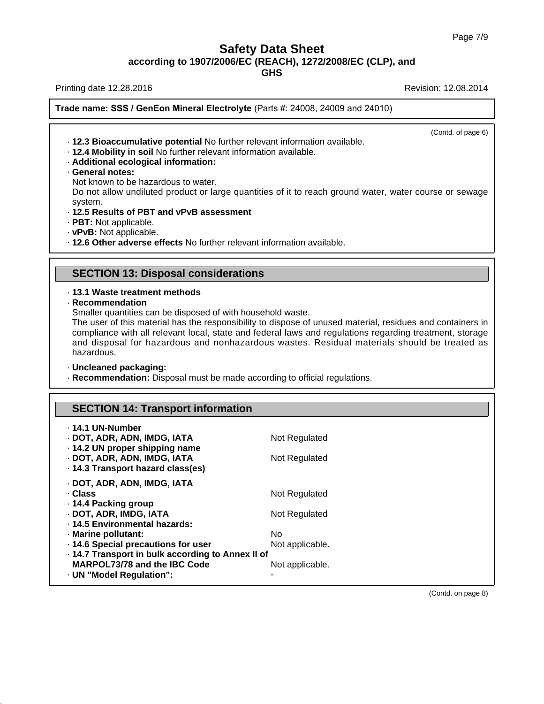**GHS**

Printing date 12.28.2016 **Printing date 12.08.2014** 

**Trade name: SSS / GenEon Mineral Electrolyte** (Parts #: 24008, 24009 and 24010)

(Contd. of page 6)

· **12.3 Bioaccumulative potential** No further relevant information available.

· **12.4 Mobility in soil** No further relevant information available.

#### · **Additional ecological information:**

· **General notes:**

Not known to be hazardous to water.

Do not allow undiluted product or large quantities of it to reach ground water, water course or sewage system.

#### · **12.5 Results of PBT and vPvB assessment**

- · **PBT:** Not applicable.
- · **vPvB:** Not applicable.

· **12.6 Other adverse effects** No further relevant information available.

# **SECTION 13: Disposal considerations**

#### · **13.1 Waste treatment methods**

· **Recommendation**

Smaller quantities can be disposed of with household waste.

The user of this material has the responsibility to dispose of unused material, residues and containers in compliance with all relevant local, state and federal laws and regulations regarding treatment, storage and disposal for hazardous and nonhazardous wastes. Residual materials should be treated as hazardous.

#### · **Uncleaned packaging:**

39.1.1

· **Recommendation:** Disposal must be made according to official regulations.

# **SECTION 14: Transport information**

| ⋅ 14.1 UN-Number<br>· DOT, ADR, ADN, IMDG, IATA<br>. 14.2 UN proper shipping name<br>· DOT, ADR, ADN, IMDG, IATA<br>. 14.3 Transport hazard class(es)                                                                                        | Not Regulated<br>Not Regulated                           |
|----------------------------------------------------------------------------------------------------------------------------------------------------------------------------------------------------------------------------------------------|----------------------------------------------------------|
| · DOT, ADR, ADN, IMDG, IATA<br>· Class<br>⋅ 14.4 Packing group<br>· DOT, ADR, IMDG, IATA<br>. 14.5 Environmental hazards:<br>· Marine pollutant:<br>. 14.6 Special precautions for user<br>. 14.7 Transport in bulk according to Annex II of | Not Regulated<br>Not Regulated<br>No.<br>Not applicable. |
| MARPOL73/78 and the IBC Code<br>. UN "Model Regulation":                                                                                                                                                                                     | Not applicable.                                          |

(Contd. on page 8)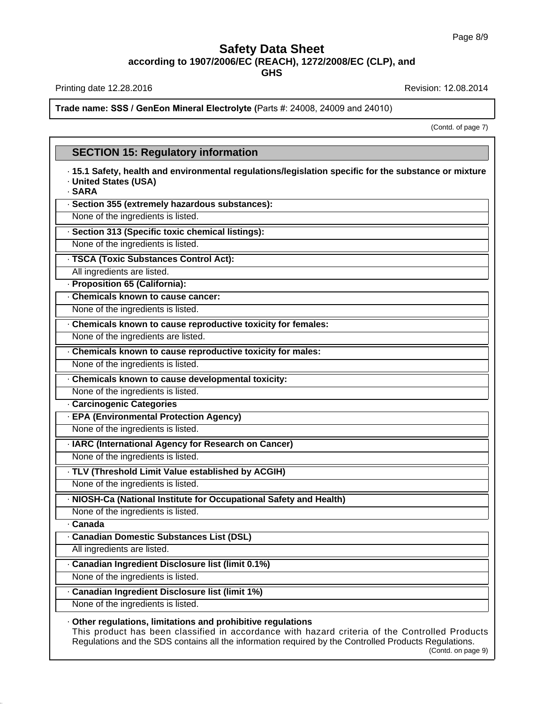Printing date 12.28.2016 **Revision: 12.08.2014** Revision: 12.08.2014

39.1.1

**Trade name: SSS / GenEon Mineral Electrolyte (**Parts #: 24008, 24009 and 24010)

(Contd. of page 7)

# **SECTION 15: Regulatory information** · **15.1 Safety, health and environmental regulations/legislation specific for the substance or mixture** · **United States (USA)** · **SARA** · **Section 355 (extremely hazardous substances):** None of the ingredients is listed. · **Section 313 (Specific toxic chemical listings):** None of the ingredients is listed. · **TSCA (Toxic Substances Control Act):** All ingredients are listed. · **Proposition 65 (California):** · **Chemicals known to cause cancer:** None of the ingredients is listed. · **Chemicals known to cause reproductive toxicity for females:** None of the ingredients are listed. · **Chemicals known to cause reproductive toxicity for males:** None of the ingredients is listed. · **Chemicals known to cause developmental toxicity:** None of the ingredients is listed. · **Carcinogenic Categories** · **EPA (Environmental Protection Agency)** None of the ingredients is listed. · **IARC (International Agency for Research on Cancer)** None of the ingredients is listed. · **TLV (Threshold Limit Value established by ACGIH)** None of the ingredients is listed. · **NIOSH-Ca (National Institute for Occupational Safety and Health)** None of the ingredients is listed. · **Canada** · **Canadian Domestic Substances List (DSL)** All ingredients are listed. · **Canadian Ingredient Disclosure list (limit 0.1%)** None of the ingredients is listed. · **Canadian Ingredient Disclosure list (limit 1%)** None of the ingredients is listed. · **Other regulations, limitations and prohibitive regulations** This product has been classified in accordance with hazard criteria of the Controlled Products Regulations and the SDS contains all the information required by the Controlled Products Regulations.

#### (Contd. on page 9)